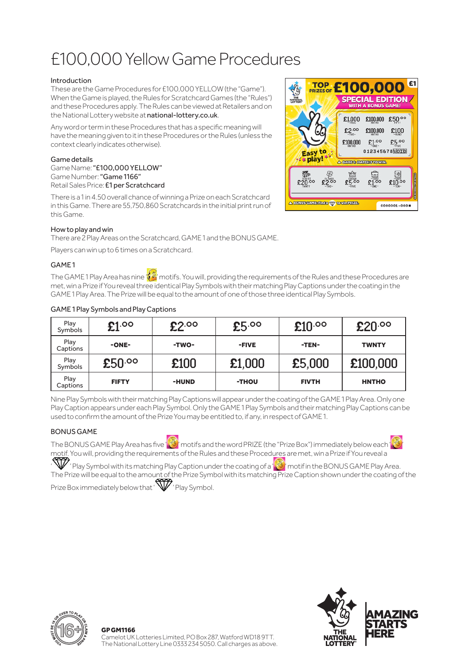# £100,000 Yellow Game Procedures

### Introduction

These are the Game Procedures for £100,000 YELLOW (the "Game"). When the Game is played, the Rules for Scratchcard Games (the "Rules") and these Procedures apply. The Rules can be viewed at Retailers and on the National Lottery website at national-lottery.co.uk.

Any word or term in these Procedures that has a specific meaning will have the meaning given to it in these Procedures or the Rules (unless the context clearly indicates otherwise).

### Game details

Game Name: "£100,000 YELLOW" Game Number: "Game 1166" Retail Sales Price: £1 per Scratchcard

There is a 1 in 4.50 overall chance of winning a Prize on each Scratchcard in this Game. There are 55,750,860 Scratchcards in the initial print run of this Game.



# How to play and win

There are 2 Play Areas on the Scratchcard, GAME 1 and the BONUS GAME.

Players can win up to 6 times on a Scratchcard.

# GAME 1

The GAME 1 Play Area has nine  $\sqrt{2}$  motifs. You will, providing the requirements of the Rules and these Procedures are met, win a Prize if You reveal three identical Play Symbols with their matching Play Captions under the coating in the GAME 1 Play Area. The Prize will be equal to the amount of one of those three identical Play Symbols.

| Play<br>Symbols  | \$1.00<br>£2.00 |       | £5.00<br>£10.00 |              | £20.00       |
|------------------|-----------------|-------|-----------------|--------------|--------------|
| Play<br>Captions | -ONE-           | -TWO- | -FIVE           | -TEN-        | <b>TWNTY</b> |
| Play<br>Symbols  | £50.00          | £100  | £1,000          | £5,000       | £100,000     |
| Play<br>Captions | <b>FIFTY</b>    | -HUND | -THOU           | <b>FIVTH</b> | <b>HNTHO</b> |

#### GAME 1 Play Symbols and Play Captions

Nine Play Symbols with their matching Play Captions will appear under the coating of the GAME 1 Play Area. Only one Play Caption appears under each Play Symbol. Only the GAME 1 Play Symbols and their matching Play Captions can be used to confirm the amount of the Prize You may be entitled to, if any, in respect of GAME 1.

# BONUS GAME

The BONUS GAME Play Area has five 'S' motifs and the word PRIZE (the "Prize Box") immediately below each ' motif. You will, providing the requirements of the Rules and these Procedures are met, win a Prize if You reveal a

 $\mathbb W$  ' Play Symbol with its matching Play Caption under the coating of a  $\mathbb S$  motif in the BONUS GAME Play Area. The Prize will be equal to the amount of the Prize Symbol with its matching Prize Caption shown under the coating of the

Prize Box immediately below that ' V ' Play Symbol.



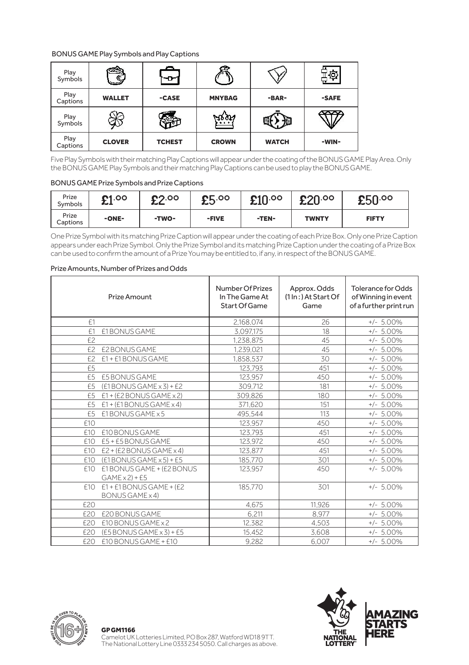### BONUS GAME Play Symbols and Play Captions

| Play<br>Symbols  |               |               |               |              |       |
|------------------|---------------|---------------|---------------|--------------|-------|
| Play<br>Captions | <b>WALLET</b> | -CASE         | <b>MNYBAG</b> | -BAR-        | -SAFE |
| Play<br>Symbols  |               |               | <u></u>       |              |       |
| Play<br>Captions | <b>CLOVER</b> | <b>TCHEST</b> | <b>CROWN</b>  | <b>WATCH</b> | -WIN- |

Five Play Symbols with their matching Play Captions will appear under the coating of the BONUS GAME Play Area. Only the BONUS GAME Play Symbols and their matching Play Captions can be used to play the BONUS GAME.

#### BONUS GAME Prize Symbols and Prize Captions

| Prize<br>Symbols  | 00.12<br>ᅩ | 02.00<br>ᅩ | <b>CL.00</b><br>∽ | $\pmb{\mathfrak{E}} 10^{. \texttt{oo}}$ | <b>CON DO</b><br>تمعه | £50.00       |
|-------------------|------------|------------|-------------------|-----------------------------------------|-----------------------|--------------|
| Prize<br>Captions | -ONE-      | -TWO-      | -FIVE             | -TEN-                                   | <b>TWNTY</b>          | <b>FIFTY</b> |

One Prize Symbol with its matching Prize Caption will appear under the coating of each Prize Box. Only one Prize Caption appears under each Prize Symbol. Only the Prize Symbol and its matching Prize Caption under the coating of a Prize Box can be used to confirm the amount of a Prize You may be entitled to, if any, in respect of the BONUS GAME.

#### Prize Amount Number Of Prizes In The Game At Start Of Game Approx. Odds (1 In : ) At Start Of Game Tolerance for Odds of Winning in event of a further print run £1 2,168,074 26 +/- 5.00% E1 E1BONUS GAME 3,097,175 18 +/- 5.00%<br>E2 1,238,875 45 +/- 5.00% £2 1,238,875 45 +/- 5.00% £2 £2 BONUS GAME 1,239,021 45 +/- 5.00%  $E2$  £1 + £1 BONUS GAME 1,858,537 30 +/- 5.00%<br>
123.793 451 +/- 5.00% £5 123,793 451 +/- 5.00% £5 £5 BONUS GAME 123,957 450 +/- 5.00% £5 (£1 BONUS GAME x 3) + £2 309,712 181 +/- 5.00%  $E1 + (E2 BONUS GAME x 2)$   $309,826$   $180$   $+/- 5.00\%$ <br> $E1 + (E1 BONUS GAME x 4)$   $371,620$   $151$   $+/- 5.00\%$ £5 £1 + (£1 BONUS GAME x 4) 371,620 151 +/- 5.00% £5 £1 BONUS GAME x 5 495,544 113 +/- 5.00% £10 123,957 450 +/- 5.00% £10 £10 BONUS GAME 123,793 451 +/- 5.00% £10 £5 + £5 BONUS GAME 123,972 450 +/- 5.00% £10 £2 + (£2 BONUS GAME x 4) 123,877 451 +/- 5.00% <u>E10 (E1 BONUS GAME x 5) + E5 185,770 301</u><br>  $\frac{1}{2}$  10 f1 BONUS GAME + (f 2 BONUS 123,957 450 £10 £1 BONUS GAME + (£2 BONUS  $GAME \times 2$ ) +  $E5$  $+/-$  5.00%  $f10$   $f1+f1$  BONUS GAME + ( $f2$ ) BONUS GAME x 4)  $185,770$   $301$   $+/-$  5.00% £20 4,675 11,926 +/- 5.00% £20 £20 BONUS GAME 6,211 8,977 +/- 5.00% £20 £10 BONUS GAME x 2 12,382 4,503 +/- 5.00% £20 (£5 BONUS GAME x 3) + £5 15,452 3,608 +/- 5.00% £20 £10 BONUS GAME + £10 9,282 6,007 +/- 5.00%

#### Prize Amounts, Number of Prizes and Odds